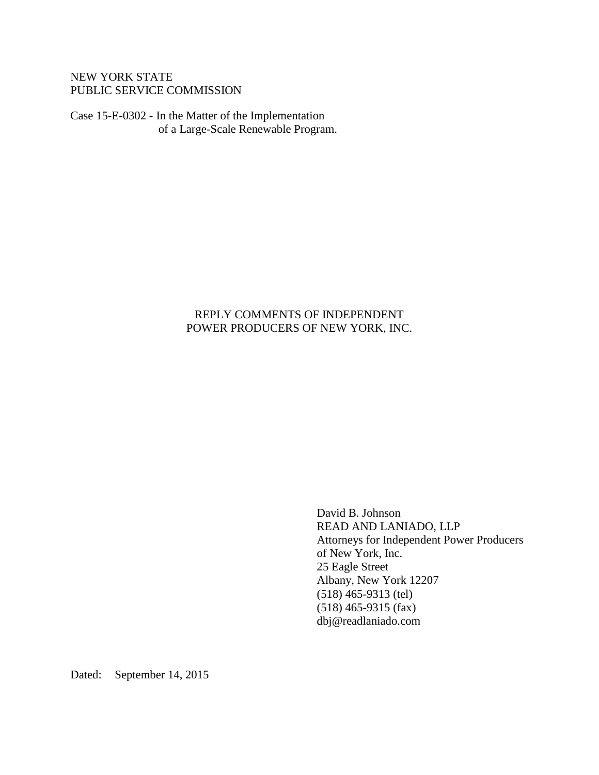## NEW YORK STATE PUBLIC SERVICE COMMISSION

Case 15-E-0302 - In the Matter of the Implementation of a Large-Scale Renewable Program.

# REPLY COMMENTS OF INDEPENDENT POWER PRODUCERS OF NEW YORK, INC.

David B. Johnson READ AND LANIADO, LLP Attorneys for Independent Power Producers of New York, Inc. 25 Eagle Street Albany, New York 12207 (518) 465-9313 (tel) (518) 465-9315 (fax) dbj@readlaniado.com

Dated: September 14, 2015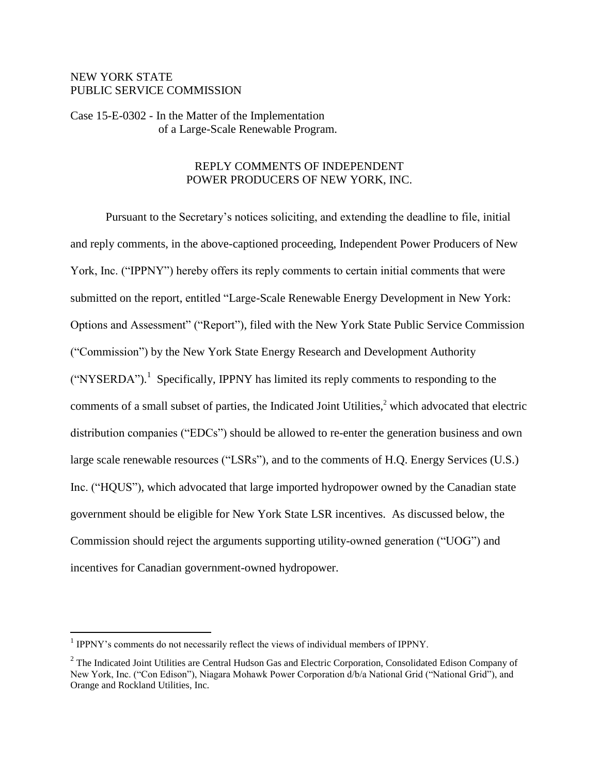## NEW YORK STATE PUBLIC SERVICE COMMISSION

Case 15-E-0302 - In the Matter of the Implementation of a Large-Scale Renewable Program.

### REPLY COMMENTS OF INDEPENDENT POWER PRODUCERS OF NEW YORK, INC.

Pursuant to the Secretary's notices soliciting, and extending the deadline to file, initial and reply comments, in the above-captioned proceeding, Independent Power Producers of New York, Inc. ("IPPNY") hereby offers its reply comments to certain initial comments that were submitted on the report, entitled "Large-Scale Renewable Energy Development in New York: Options and Assessment" ("Report"), filed with the New York State Public Service Commission ("Commission") by the New York State Energy Research and Development Authority  $("NYSERDA").$ <sup>1</sup> Specifically, IPPNY has limited its reply comments to responding to the comments of a small subset of parties, the Indicated Joint Utilities, $<sup>2</sup>$  which advocated that electric</sup> distribution companies ("EDCs") should be allowed to re-enter the generation business and own large scale renewable resources ("LSRs"), and to the comments of H.Q. Energy Services (U.S.) Inc. ("HQUS"), which advocated that large imported hydropower owned by the Canadian state government should be eligible for New York State LSR incentives. As discussed below, the Commission should reject the arguments supporting utility-owned generation ("UOG") and incentives for Canadian government-owned hydropower.

<sup>&</sup>lt;sup>1</sup> IPPNY's comments do not necessarily reflect the views of individual members of IPPNY.

<sup>&</sup>lt;sup>2</sup> The Indicated Joint Utilities are Central Hudson Gas and Electric Corporation, Consolidated Edison Company of New York, Inc. ("Con Edison"), Niagara Mohawk Power Corporation d/b/a National Grid ("National Grid"), and Orange and Rockland Utilities, Inc.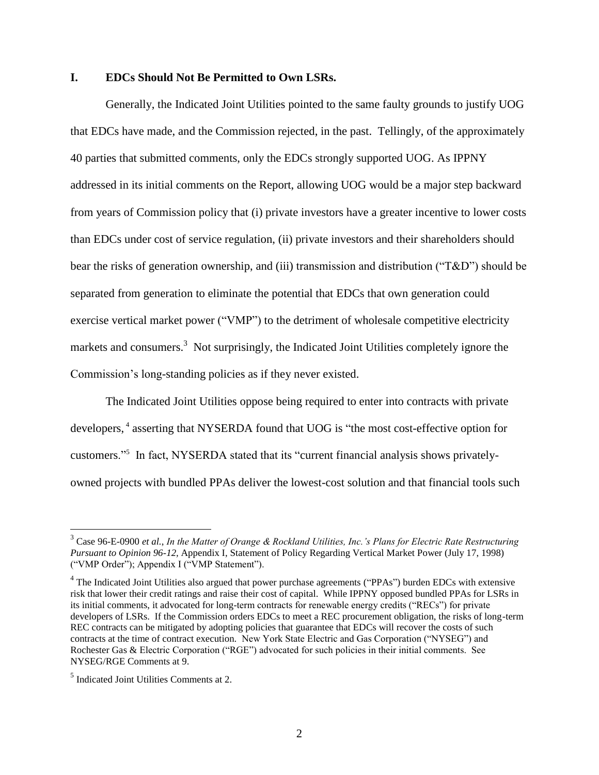#### **I. EDCs Should Not Be Permitted to Own LSRs.**

Generally, the Indicated Joint Utilities pointed to the same faulty grounds to justify UOG that EDCs have made, and the Commission rejected, in the past. Tellingly, of the approximately 40 parties that submitted comments, only the EDCs strongly supported UOG. As IPPNY addressed in its initial comments on the Report, allowing UOG would be a major step backward from years of Commission policy that (i) private investors have a greater incentive to lower costs than EDCs under cost of service regulation, (ii) private investors and their shareholders should bear the risks of generation ownership, and (iii) transmission and distribution ("T&D") should be separated from generation to eliminate the potential that EDCs that own generation could exercise vertical market power ("VMP") to the detriment of wholesale competitive electricity markets and consumers.<sup>3</sup> Not surprisingly, the Indicated Joint Utilities completely ignore the Commission's long-standing policies as if they never existed.

The Indicated Joint Utilities oppose being required to enter into contracts with private developers,<sup>4</sup> asserting that NYSERDA found that UOG is "the most cost-effective option for customers."<sup>5</sup> In fact, NYSERDA stated that its "current financial analysis shows privatelyowned projects with bundled PPAs deliver the lowest-cost solution and that financial tools such

<sup>3</sup> Case 96-E-0900 *et al.*, *In the Matter of Orange & Rockland Utilities, Inc.'s Plans for Electric Rate Restructuring Pursuant to Opinion 96-12,* Appendix I, Statement of Policy Regarding Vertical Market Power (July 17, 1998) ("VMP Order"); Appendix I ("VMP Statement").

<sup>&</sup>lt;sup>4</sup> The Indicated Joint Utilities also argued that power purchase agreements ("PPAs") burden EDCs with extensive risk that lower their credit ratings and raise their cost of capital. While IPPNY opposed bundled PPAs for LSRs in its initial comments, it advocated for long-term contracts for renewable energy credits ("RECs") for private developers of LSRs. If the Commission orders EDCs to meet a REC procurement obligation, the risks of long-term REC contracts can be mitigated by adopting policies that guarantee that EDCs will recover the costs of such contracts at the time of contract execution. New York State Electric and Gas Corporation ("NYSEG") and Rochester Gas & Electric Corporation ("RGE") advocated for such policies in their initial comments. See NYSEG/RGE Comments at 9.

<sup>5</sup> Indicated Joint Utilities Comments at 2.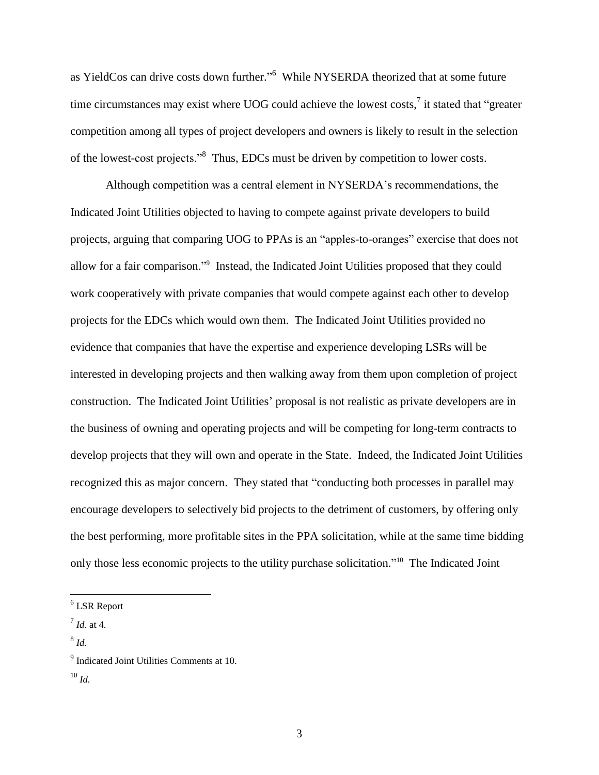as YieldCos can drive costs down further."<sup>6</sup> While NYSERDA theorized that at some future time circumstances may exist where UOG could achieve the lowest costs,<sup>7</sup> it stated that "greater competition among all types of project developers and owners is likely to result in the selection of the lowest-cost projects."<sup>8</sup> Thus, EDCs must be driven by competition to lower costs.

Although competition was a central element in NYSERDA's recommendations, the Indicated Joint Utilities objected to having to compete against private developers to build projects, arguing that comparing UOG to PPAs is an "apples-to-oranges" exercise that does not allow for a fair comparison."<sup>9</sup> Instead, the Indicated Joint Utilities proposed that they could work cooperatively with private companies that would compete against each other to develop projects for the EDCs which would own them. The Indicated Joint Utilities provided no evidence that companies that have the expertise and experience developing LSRs will be interested in developing projects and then walking away from them upon completion of project construction. The Indicated Joint Utilities' proposal is not realistic as private developers are in the business of owning and operating projects and will be competing for long-term contracts to develop projects that they will own and operate in the State. Indeed, the Indicated Joint Utilities recognized this as major concern. They stated that "conducting both processes in parallel may encourage developers to selectively bid projects to the detriment of customers, by offering only the best performing, more profitable sites in the PPA solicitation, while at the same time bidding only those less economic projects to the utility purchase solicitation."<sup>10</sup> The Indicated Joint

<sup>6</sup> LSR Report

<sup>7</sup> *Id.* at 4.

<sup>8</sup> *Id.*

<sup>&</sup>lt;sup>9</sup> Indicated Joint Utilities Comments at 10.

<sup>10</sup> *Id.*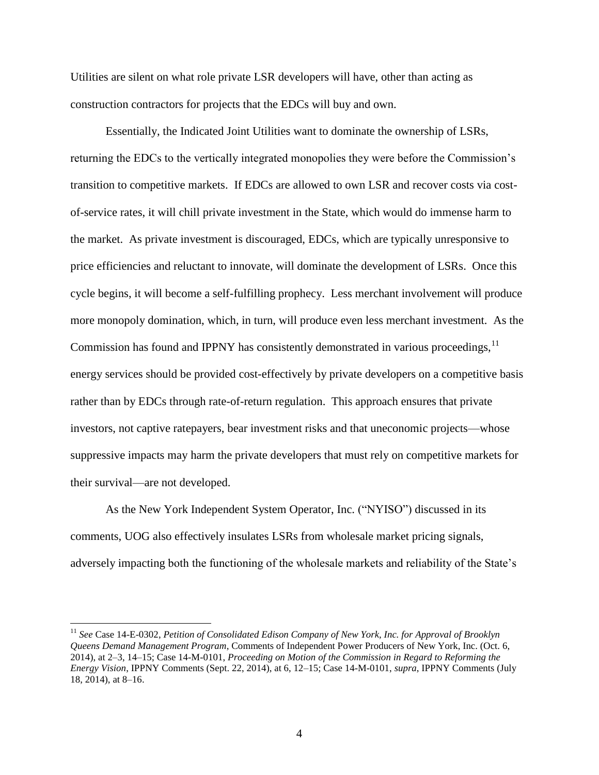Utilities are silent on what role private LSR developers will have, other than acting as construction contractors for projects that the EDCs will buy and own.

Essentially, the Indicated Joint Utilities want to dominate the ownership of LSRs, returning the EDCs to the vertically integrated monopolies they were before the Commission's transition to competitive markets. If EDCs are allowed to own LSR and recover costs via costof-service rates, it will chill private investment in the State, which would do immense harm to the market. As private investment is discouraged, EDCs, which are typically unresponsive to price efficiencies and reluctant to innovate, will dominate the development of LSRs. Once this cycle begins, it will become a self-fulfilling prophecy. Less merchant involvement will produce more monopoly domination, which, in turn, will produce even less merchant investment. As the Commission has found and IPPNY has consistently demonstrated in various proceedings,  $11$ energy services should be provided cost-effectively by private developers on a competitive basis rather than by EDCs through rate-of-return regulation. This approach ensures that private investors, not captive ratepayers, bear investment risks and that uneconomic projects—whose suppressive impacts may harm the private developers that must rely on competitive markets for their survival—are not developed.

As the New York Independent System Operator, Inc. ("NYISO") discussed in its comments, UOG also effectively insulates LSRs from wholesale market pricing signals, adversely impacting both the functioning of the wholesale markets and reliability of the State's

<sup>11</sup> *See* Case 14-E-0302, *Petition of Consolidated Edison Company of New York, Inc. for Approval of Brooklyn Queens Demand Management Program*, Comments of Independent Power Producers of New York, Inc. (Oct. 6, 2014), at 2–3, 14–15; Case 14-M-0101, *Proceeding on Motion of the Commission in Regard to Reforming the Energy Vision*, IPPNY Comments (Sept. 22, 2014), at 6, 12–15; Case 14-M-0101, *supra*, IPPNY Comments (July 18, 2014), at 8–16.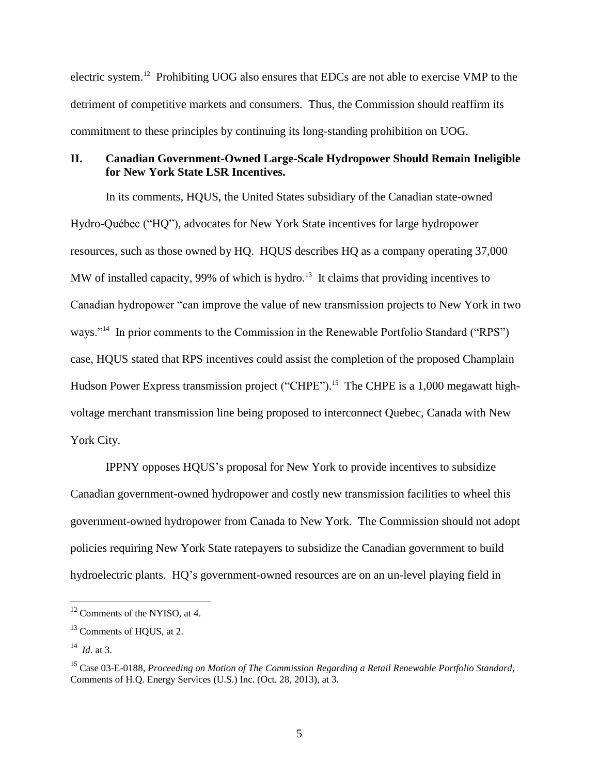electric system.<sup>12</sup> Prohibiting UOG also ensures that EDCs are not able to exercise VMP to the detriment of competitive markets and consumers. Thus, the Commission should reaffirm its commitment to these principles by continuing its long-standing prohibition on UOG.

### **II. Canadian Government-Owned Large-Scale Hydropower Should Remain Ineligible for New York State LSR Incentives.**

In its comments, HQUS, the United States subsidiary of the Canadian state-owned Hydro-Québec ("HQ"), advocates for New York State incentives for large hydropower resources, such as those owned by HQ. HQUS describes HQ as a company operating 37,000 MW of installed capacity, 99% of which is hydro.<sup>13</sup> It claims that providing incentives to Canadian hydropower "can improve the value of new transmission projects to New York in two ways."<sup>14</sup> In prior comments to the Commission in the Renewable Portfolio Standard ("RPS") case, HQUS stated that RPS incentives could assist the completion of the proposed Champlain Hudson Power Express transmission project ("CHPE").<sup>15</sup> The CHPE is a 1,000 megawatt highvoltage merchant transmission line being proposed to interconnect Quebec, Canada with New York City.

IPPNY opposes HQUS's proposal for New York to provide incentives to subsidize Canadian government-owned hydropower and costly new transmission facilities to wheel this government-owned hydropower from Canada to New York. The Commission should not adopt policies requiring New York State ratepayers to subsidize the Canadian government to build hydroelectric plants. HQ's government-owned resources are on an un-level playing field in

<sup>&</sup>lt;sup>12</sup> Comments of the NYISO, at 4.

<sup>&</sup>lt;sup>13</sup> Comments of HQUS, at 2.

<sup>14</sup> *Id.* at 3.

<sup>15</sup> Case 03-E-0188, *Proceeding on Motion of The Commission Regarding a Retail Renewable Portfolio Standard*, Comments of H.Q. Energy Services (U.S.) Inc. (Oct. 28, 2013), at 3.